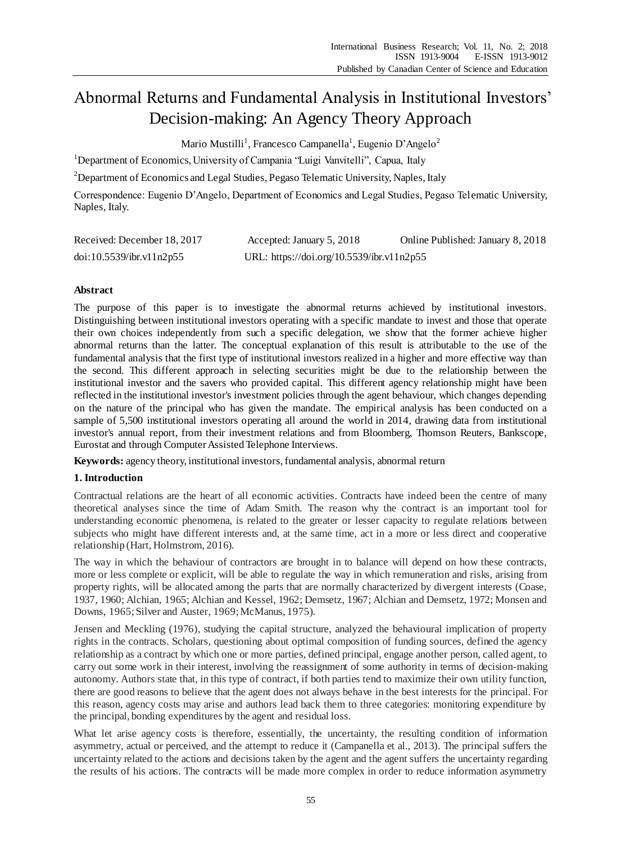# Abnormal Returns and Fundamental Analysis in Institutional Investors' Decision-making: An Agency Theory Approach

Mario Mustilli<sup>1</sup>, Francesco Campanella<sup>1</sup>, Eugenio D'Angelo<sup>2</sup>

<sup>1</sup>Department of Economics, University of Campania "Luigi Vanvitelli", Capua, Italy

 $2D$ epartment of Economics and Legal Studies, Pegaso Telematic University, Naples, Italy

Correspondence: Eugenio D'Angelo, Department of Economics and Legal Studies, Pegaso Telematic University, Naples, Italy.

| Received: December 18, 2017 | Accepted: January 5, 2018                  | Online Published: January 8, 2018 |
|-----------------------------|--------------------------------------------|-----------------------------------|
| doi:10.5539/ibr.v11n2p55    | URL: https://doi.org/10.5539/ibr.vl 1n2p55 |                                   |

# **Abstract**

The purpose of this paper is to investigate the abnormal returns achieved by institutional investors. Distinguishing between institutional investors operating with a specific mandate to invest and those that operate their own choices independently from such a specific delegation, we show that the former achieve higher abnormal returns than the latter. The conceptual explanation of this result is attributable to the use of the fundamental analysis that the first type of institutional investors realized in a higher and more effective way than the second. This different approach in selecting securities might be due to the relationship between the institutional investor and the savers who provided capital. This different agency relationship might have been reflected in the institutional investor's investment policies through the agent behaviour, which changes depending on the nature of the principal who has given the mandate. The empirical analysis has been conducted on a sample of 5,500 institutional investors operating all around the world in 2014, drawing data from institutional investor's annual report, from their investment relations and from Bloomberg, Thomson Reuters, Bankscope, Eurostat and through Computer Assisted Telephone Interviews.

**Keywords:** agency theory, institutional investors, fundamental analysis, abnormal return

# **1. Introduction**

Contractual relations are the heart of all economic activities. Contracts have indeed been the centre of many theoretical analyses since the time of Adam Smith. The reason why the contract is an important tool for understanding economic phenomena, is related to the greater or lesser capacity to regulate relations between subjects who might have different interests and, at the same time, act in a more or less direct and cooperative relationship (Hart, Holmstrom, 2016).

The way in which the behaviour of contractors are brought in to balance will depend on how these contracts, more or less complete or explicit, will be able to regulate the way in which remuneration and risks, arising from property rights, will be allocated among the parts that are normally characterized by divergent interests (Coase, 1937, 1960; Alchian, 1965; Alchian and Kessel, 1962; Demsetz, 1967; Alchian and Demsetz, 1972; Monsen and Downs, 1965; Silver and Auster, 1969; McManus, 1975).

Jensen and Meckling (1976), studying the capital structure, analyzed the behavioural implication of property rights in the contracts. Scholars, questioning about optimal composition of funding sources, defined the agency relationship as a contract by which one or more parties, defined principal, engage another person, called agent, to carry out some work in their interest, involving the reassignment of some authority in terms of decision-making autonomy. Authors state that, in this type of contract, if both parties tend to maximize their own utility function, there are good reasons to believe that the agent does not always behave in the best interests for the principal. For this reason, agency costs may arise and authors lead back them to three categories: monitoring expenditure by the principal, bonding expenditures by the agent and residual loss.

What let arise agency costs is therefore, essentially, the uncertainty, the resulting condition of information asymmetry, actual or perceived, and the attempt to reduce it (Campanella et al., 2013). The principal suffers the uncertainty related to the actions and decisions taken by the agent and the agent suffers the uncertainty regarding the results of his actions. The contracts will be made more complex in order to reduce information asymmetry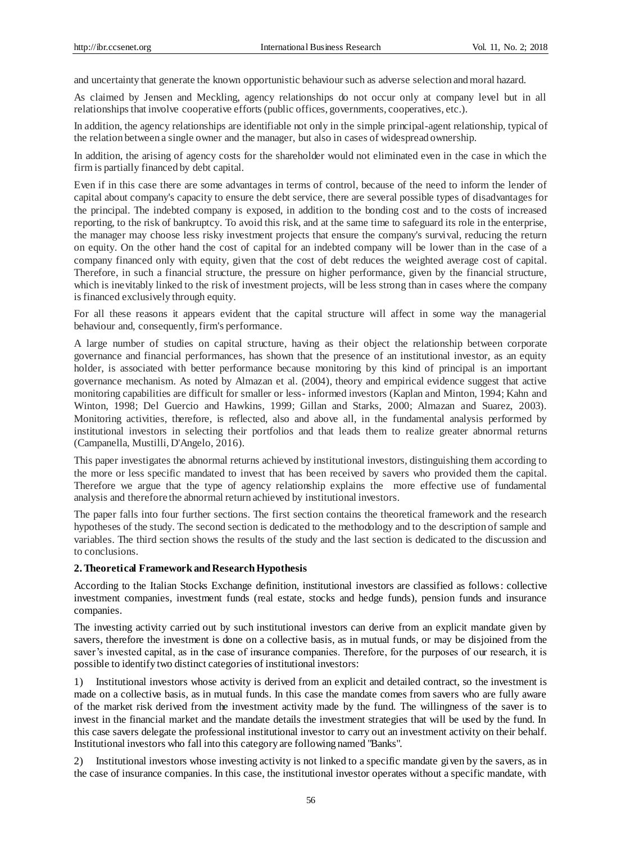and uncertainty that generate the known opportunistic behaviour such as adverse selection and moral hazard.

As claimed by Jensen and Meckling, agency relationships do not occur only at company level but in all relationships that involve cooperative efforts (public offices, governments, cooperatives, etc.).

In addition, the agency relationships are identifiable not only in the simple principal-agent relationship, typical of the relation between a single owner and the manager, but also in cases of widespread ownership.

In addition, the arising of agency costs for the shareholder would not eliminated even in the case in which the firm is partially financed by debt capital.

Even if in this case there are some advantages in terms of control, because of the need to inform the lender of capital about company's capacity to ensure the debt service, there are several possible types of disadvantages for the principal. The indebted company is exposed, in addition to the bonding cost and to the costs of increased reporting, to the risk of bankruptcy. To avoid this risk, and at the same time to safeguard its role in the enterprise, the manager may choose less risky investment projects that ensure the company's survival, reducing the return on equity. On the other hand the cost of capital for an indebted company will be lower than in the case of a company financed only with equity, given that the cost of debt reduces the weighted average cost of capital. Therefore, in such a financial structure, the pressure on higher performance, given by the financial structure, which is inevitably linked to the risk of investment projects, will be less strong than in cases where the company is financed exclusively through equity.

For all these reasons it appears evident that the capital structure will affect in some way the managerial behaviour and, consequently, firm's performance.

A large number of studies on capital structure, having as their object the relationship between corporate governance and financial performances, has shown that the presence of an institutional investor, as an equity holder, is associated with better performance because monitoring by this kind of principal is an important governance mechanism. As noted by Almazan et al. (2004), theory and empirical evidence suggest that active monitoring capabilities are difficult for smaller or less- informed investors (Kaplan and Minton, 1994; Kahn and Winton, 1998; Del Guercio and Hawkins, 1999; Gillan and Starks, 2000; Almazan and Suarez, 2003). Monitoring activities, therefore, is reflected, also and above all, in the fundamental analysis performed by institutional investors in selecting their portfolios and that leads them to realize greater abnormal returns (Campanella, Mustilli, D'Angelo, 2016).

This paper investigates the abnormal returns achieved by institutional investors, distinguishing them according to the more or less specific mandated to invest that has been received by savers who provided them the capital. Therefore we argue that the type of agency relationship explains the more effective use of fundamental analysis and therefore the abnormal return achieved by institutional investors.

The paper falls into four further sections. The first section contains the theoretical framework and the research hypotheses of the study. The second section is dedicated to the methodology and to the description of sample and variables. The third section shows the results of the study and the last section is dedicated to the discussion and to conclusions.

## **2. Theoretical Framework and Research Hypothesis**

According to the Italian Stocks Exchange definition, institutional investors are classified as follows: collective investment companies, investment funds (real estate, stocks and hedge funds), pension funds and insurance companies.

The investing activity carried out by such institutional investors can derive from an explicit mandate given by savers, therefore the investment is done on a collective basis, as in mutual funds, or may be disjoined from the saver's invested capital, as in the case of insurance companies. Therefore, for the purposes of our research, it is possible to identify two distinct categories of institutional investors:

1) Institutional investors whose activity is derived from an explicit and detailed contract, so the investment is made on a collective basis, as in mutual funds. In this case the mandate comes from savers who are fully aware of the market risk derived from the investment activity made by the fund. The willingness of the saver is to invest in the financial market and the mandate details the investment strategies that will be used by the fund. In this case savers delegate the professional institutional investor to carry out an investment activity on their behalf. Institutional investors who fall into this category are following named "Banks".

2) Institutional investors whose investing activity is not linked to a specific mandate given by the savers, as in the case of insurance companies. In this case, the institutional investor operates without a specific mandate, with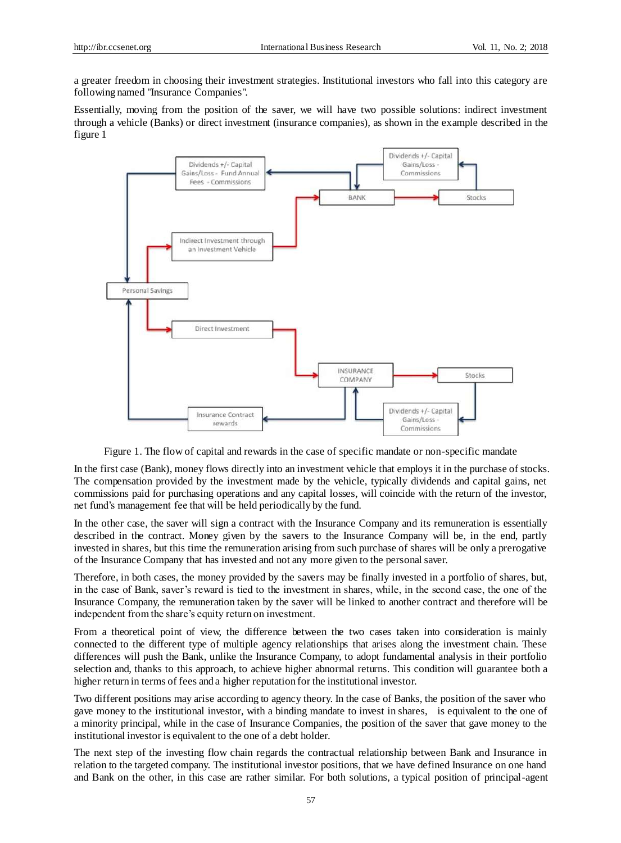a greater freedom in choosing their investment strategies. Institutional investors who fall into this category are following named "Insurance Companies".

Essentially, moving from the position of the saver, we will have two possible solutions: indirect investment through a vehicle (Banks) or direct investment (insurance companies), as shown in the example described in the figure 1



Figure 1. The flow of capital and rewards in the case of specific mandate or non-specific mandate

In the first case (Bank), money flows directly into an investment vehicle that employs it in the purchase of stocks. The compensation provided by the investment made by the vehicle, typically dividends and capital gains, net commissions paid for purchasing operations and any capital losses, will coincide with the return of the investor, net fund's management fee that will be held periodically by the fund.

In the other case, the saver will sign a contract with the Insurance Company and its remuneration is essentially described in the contract. Money given by the savers to the Insurance Company will be, in the end, partly invested in shares, but this time the remuneration arising from such purchase of shares will be only a prerogative of the Insurance Company that has invested and not any more given to the personal saver.

Therefore, in both cases, the money provided by the savers may be finally invested in a portfolio of shares, but, in the case of Bank, saver's reward is tied to the investment in shares, while, in the second case, the one of the Insurance Company, the remuneration taken by the saver will be linked to another contract and therefore will be independent from the share's equity return on investment.

From a theoretical point of view, the difference between the two cases taken into consideration is mainly connected to the different type of multiple agency relationships that arises along the investment chain. These differences will push the Bank, unlike the Insurance Company, to adopt fundamental analysis in their portfolio selection and, thanks to this approach, to achieve higher abnormal returns. This condition will guarantee both a higher return in terms of fees and a higher reputation for the institutional investor.

Two different positions may arise according to agency theory. In the case of Banks, the position of the saver who gave money to the institutional investor, with a binding mandate to invest in shares, is equivalent to the one of a minority principal, while in the case of Insurance Companies, the position of the saver that gave money to the institutional investor is equivalent to the one of a debt holder.

The next step of the investing flow chain regards the contractual relationship between Bank and Insurance in relation to the targeted company. The institutional investor positions, that we have defined Insurance on one hand and Bank on the other, in this case are rather similar. For both solutions, a typical position of principal-agent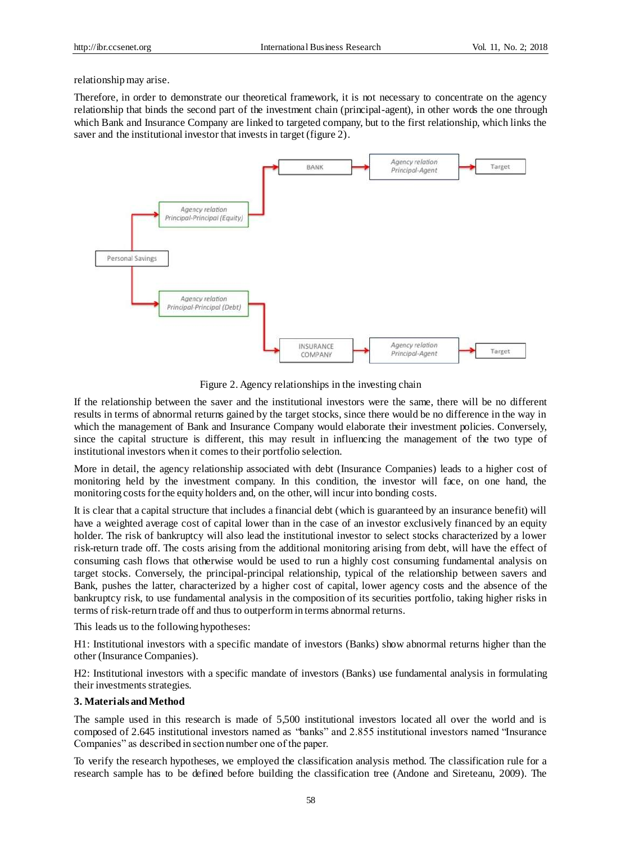relationship may arise.

Therefore, in order to demonstrate our theoretical framework, it is not necessary to concentrate on the agency relationship that binds the second part of the investment chain (principal-agent), in other words the one through which Bank and Insurance Company are linked to targeted company, but to the first relationship, which links the saver and the institutional investor that invests in target (figure 2).



Figure 2. Agency relationships in the investing chain

If the relationship between the saver and the institutional investors were the same, there will be no different results in terms of abnormal returns gained by the target stocks, since there would be no difference in the way in which the management of Bank and Insurance Company would elaborate their investment policies. Conversely, since the capital structure is different, this may result in influencing the management of the two type of institutional investors when it comes to their portfolio selection.

More in detail, the agency relationship associated with debt (Insurance Companies) leads to a higher cost of monitoring held by the investment company. In this condition, the investor will face, on one hand, the monitoring costs for the equity holders and, on the other, will incur into bonding costs.

It is clear that a capital structure that includes a financial debt (which is guaranteed by an insurance benefit) will have a weighted average cost of capital lower than in the case of an investor exclusively financed by an equity holder. The risk of bankruptcy will also lead the institutional investor to select stocks characterized by a lower risk-return trade off. The costs arising from the additional monitoring arising from debt, will have the effect of consuming cash flows that otherwise would be used to run a highly cost consuming fundamental analysis on target stocks. Conversely, the principal-principal relationship, typical of the relationship between savers and Bank, pushes the latter, characterized by a higher cost of capital, lower agency costs and the absence of the bankruptcy risk, to use fundamental analysis in the composition of its securities portfolio, taking higher risks in terms of risk-return trade off and thus to outperform in terms abnormal returns.

This leads us to the following hypotheses:

H1: Institutional investors with a specific mandate of investors (Banks) show abnormal returns higher than the other (Insurance Companies).

H2: Institutional investors with a specific mandate of investors (Banks) use fundamental analysis in formulating their investments strategies.

### **3. Materials and Method**

The sample used in this research is made of 5,500 institutional investors located all over the world and is composed of 2.645 institutional investors named as "banks" and 2.855 institutional investors named "Insurance Companies" as described in section number one of the paper.

To verify the research hypotheses, we employed the classification analysis method. The classification rule for a research sample has to be defined before building the classification tree (Andone and Sireteanu, 2009). The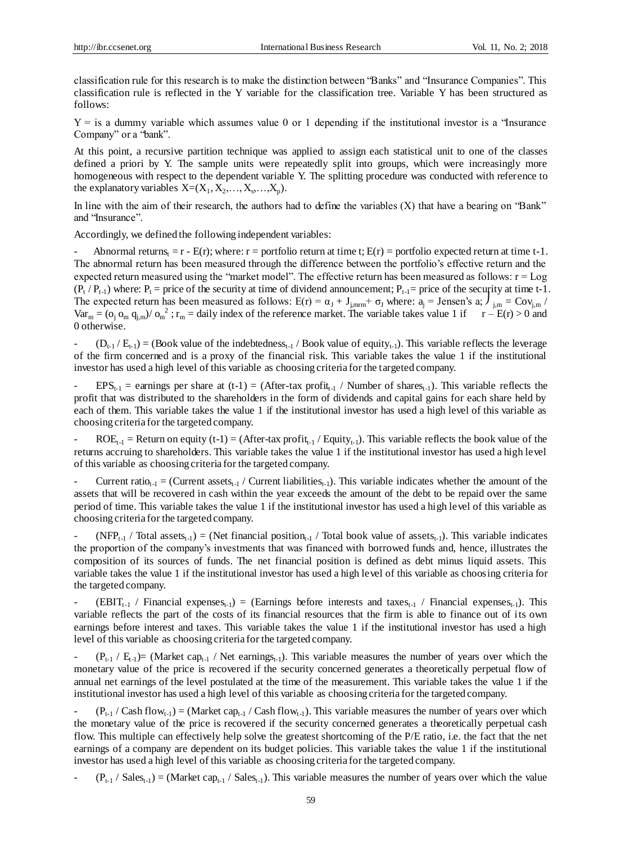classification rule for this research is to make the distinction between "Banks" and "Insurance Companies". This classification rule is reflected in the Y variable for the classification tree. Variable Y has been structured as follows:

 $Y =$  is a dummy variable which assumes value 0 or 1 depending if the institutional investor is a "Insurance" Company" or a "bank".

At this point, a recursive partition technique was applied to assign each statistical unit to one of the classes defined a priori by Y. The sample units were repeatedly split into groups, which were increasingly more homogeneous with respect to the dependent variable Y. The splitting procedure was conducted with reference to the explanatory variables  $X=(X_1, X_2, \ldots, X_s, \ldots, X_p)$ .

In line with the aim of their research, the authors had to define the variables (X) that have a bearing on "Bank" and "Insurance".

Accordingly, we defined the following independent variables:

Abnormal returns<sub>t</sub> = r - E(r); where: r = portfolio return at time t; E(r) = portfolio expected return at time t-1. The abnormal return has been measured through the difference between the portfolio's effective return and the expected return measured using the "market model". The effective return has been measured as follows:  $r = Log$  $(P_t / P_{t-1})$  where:  $P_t$  = price of the security at time of dividend announcement;  $P_{t-1}$  = price of the security at time t-1. The expected return has been measured as follows:  $E(r) = \alpha_J + J_{\text{imm}} + \sigma_J$  where:  $a_i = \text{Jensen's a}$ ;  $J_{\text{imm}} - \text{Cov}_{\text{imm}}$  $Var_m = (o_j o_m q_{j,m})/o_m^2$ ;  $r_m$  = daily index of the reference market. The variable takes value 1 if  $r - E(r) > 0$  and 0 otherwise.

 $(D_{t-1}/E_{t-1}) = (Book value of the indebedness_{t-1} / Book value of equity_{t-1})$ . This variable reflects the leverage of the firm concerned and is a proxy of the financial risk. This variable takes the value 1 if the institutional investor has used a high level of this variable as choosing criteria for the targeted company.

 $EPS_{t-1}$  = earnings per share at (t-1) = (After-tax profit<sub>t-1</sub> / Number of shares<sub>t-1</sub>). This variable reflects the profit that was distributed to the shareholders in the form of dividends and capital gains for each share held by each of them. This variable takes the value 1 if the institutional investor has used a high level of this variable as choosing criteria for the targeted company.

ROE<sub>t-1</sub> = Return on equity (t-1) = (After-tax profit<sub>t-1</sub> / Equity<sub>t-1</sub>). This variable reflects the book value of the returns accruing to shareholders. This variable takes the value 1 if the institutional investor has used a high level of this variable as choosing criteria for the targeted company.

- Current ratio<sub>t-1</sub> = (Current assets<sub>t-1</sub> / Current liabilities<sub>t-1</sub>). This variable indicates whether the amount of the assets that will be recovered in cash within the year exceeds the amount of the debt to be repaid over the same period of time. This variable takes the value 1 if the institutional investor has used a high level of this variable as choosing criteria for the targeted company.

- (NFP<sub>t-1</sub> / Total assets<sub>t-1</sub>) = (Net financial position<sub>t-1</sub> / Total book value of assets<sub>t-1</sub>). This variable indicates the proportion of the company's investments that was financed with borrowed funds and, hence, illustrates the composition of its sources of funds. The net financial position is defined as debt minus liquid assets. This variable takes the value 1 if the institutional investor has used a high level of this variable as choosing criteria for the targeted company.

- (EBIT<sub>t-1</sub> / Financial expenses<sub>t-1</sub>) = (Earnings before interests and taxes<sub>t-1</sub> / Financial expenses<sub>t-1</sub>). This variable reflects the part of the costs of its financial resources that the firm is able to finance out of its own earnings before interest and taxes. This variable takes the value 1 if the institutional investor has used a high level of this variable as choosing criteria for the targeted company.

 $(P_{t-1} / E_{t-1}) = (Market cap_{t-1} / Net earnings_{t-1})$ . This variable measures the number of years over which the monetary value of the price is recovered if the security concerned generates a theoretically perpetual flow of annual net earnings of the level postulated at the time of the measurement. This variable takes the value 1 if the institutional investor has used a high level of this variable as choosing criteria for the targeted company.

 $(P_{t-1} / Cash flow_{t-1}) = (Market cap_{t-1} / Cash flow_{t-1})$ . This variable measures the number of years over which the monetary value of the price is recovered if the security concerned generates a theoretically perpetual cash flow. This multiple can effectively help solve the greatest shortcoming of the P/E ratio, i.e. the fact that the net earnings of a company are dependent on its budget policies. This variable takes the value 1 if the institutional investor has used a high level of this variable as choosing criteria for the targeted company.

 $(P_{t-1} / Sales_{t-1}) = (Market cap_{t-1} / Sales_{t-1})$ . This variable measures the number of years over which the value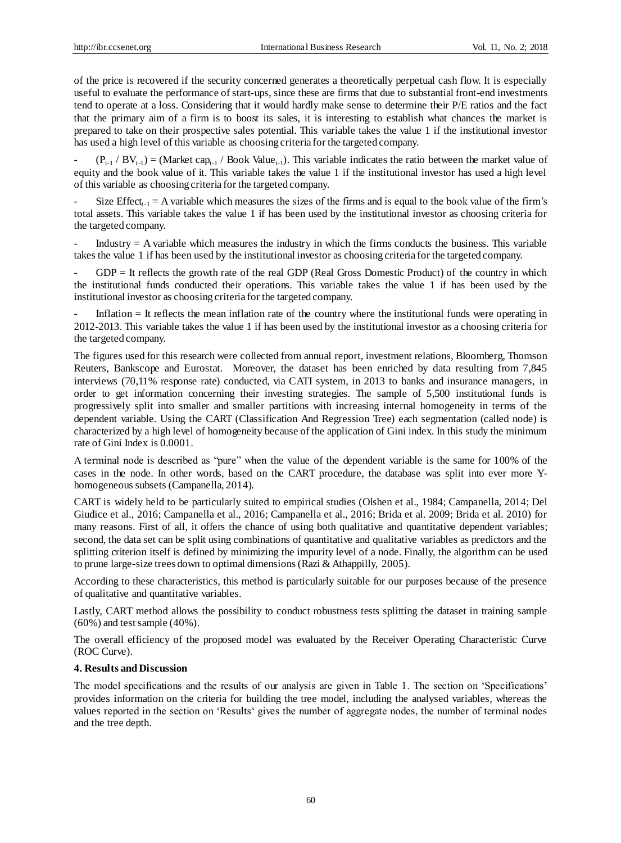of the price is recovered if the security concerned generates a theoretically perpetual cash flow. It is especially useful to evaluate the performance of start-ups, since these are firms that due to substantial front-end investments tend to operate at a loss. Considering that it would hardly make sense to determine their P/E ratios and the fact that the primary aim of a firm is to boost its sales, it is interesting to establish what chances the market is prepared to take on their prospective sales potential. This variable takes the value 1 if the institutional investor has used a high level of this variable as choosing criteria for the targeted company.

 $(P_{t-1} / BV_{t-1}) = (Market cap_{t-1} / Book Value_{t-1})$ . This variable indicates the ratio between the market value of equity and the book value of it. This variable takes the value 1 if the institutional investor has used a high level of this variable as choosing criteria for the targeted company.

Size Effect<sub>t-1</sub> = A variable which measures the sizes of the firms and is equal to the book value of the firm's total assets. This variable takes the value 1 if has been used by the institutional investor as choosing criteria for the targeted company.

Industry  $=$  A variable which measures the industry in which the firms conducts the business. This variable takes the value 1 if has been used by the institutional investor as choosing criteria for the targeted company.

 $GDP = It$  reflects the growth rate of the real  $GDP$  (Real Gross Domestic Product) of the country in which the institutional funds conducted their operations. This variable takes the value 1 if has been used by the institutional investor as choosing criteria for the targeted company.

Inflation  $=$  It reflects the mean inflation rate of the country where the institutional funds were operating in 2012-2013. This variable takes the value 1 if has been used by the institutional investor as a choosing criteria for the targeted company.

The figures used for this research were collected from annual report, investment relations, Bloomberg, Thomson Reuters, Bankscope and Eurostat. Moreover, the dataset has been enriched by data resulting from 7,845 interviews (70,11% response rate) conducted, via CATI system, in 2013 to banks and insurance managers, in order to get information concerning their investing strategies. The sample of 5,500 institutional funds is progressively split into smaller and smaller partitions with increasing internal homogeneity in terms of the dependent variable. Using the CART (Classification And Regression Tree) each segmentation (called node) is characterized by a high level of homogeneity because of the application of Gini index. In this study the minimum rate of Gini Index is 0.0001.

A terminal node is described as "pure" when the value of the dependent variable is the same for 100% of the cases in the node. In other words, based on the CART procedure, the database was split into ever more Yhomogeneous subsets (Campanella, 2014).

CART is widely held to be particularly suited to empirical studies (Olshen et al., 1984; Campanella, 2014; Del Giudice et al., 2016; Campanella et al., 2016; Campanella et al., 2016; Brida et al. 2009; Brida et al. 2010) for many reasons. First of all, it offers the chance of using both qualitative and quantitative dependent variables; second, the data set can be split using combinations of quantitative and qualitative variables as predictors and the splitting criterion itself is defined by minimizing the impurity level of a node. Finally, the algorithm can be used to prune large-size trees down to optimal dimensions (Razi  $\&$  Athappilly, 2005).

According to these characteristics, this method is particularly suitable for our purposes because of the presence of qualitative and quantitative variables.

Lastly, CART method allows the possibility to conduct robustness tests splitting the dataset in training sample (60%) and test sample (40%).

The overall efficiency of the proposed model was evaluated by the Receiver Operating Characteristic Curve (ROC Curve).

## **4. Results and Discussion**

The model specifications and the results of our analysis are given in Table 1. The section on 'Specifications' provides information on the criteria for building the tree model, including the analysed variables, whereas the values reported in the section on 'Results' gives the number of aggregate nodes, the number of terminal nodes and the tree depth.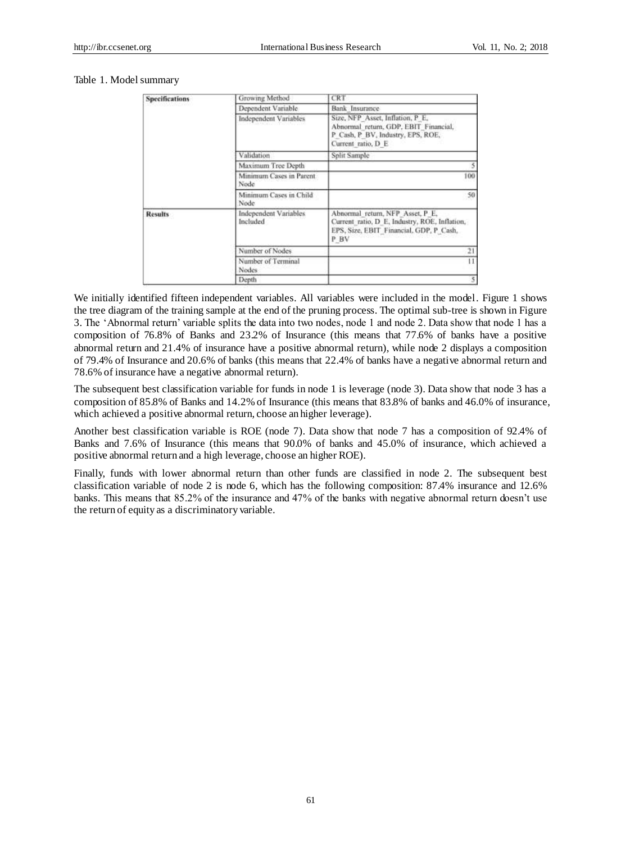| <b>Specifications</b> | Growing Method                    | <b>CRT</b>                                                                                                                            |
|-----------------------|-----------------------------------|---------------------------------------------------------------------------------------------------------------------------------------|
|                       | Dependent Variable                | Bank Insurance                                                                                                                        |
|                       | Independent Variables             | Size, NFP Asset, Inflation, P E.<br>Abnormal return, GDP, EBIT Financial,<br>P Cash, P BV, Industry, EPS, ROE,<br>Current ratio, D E  |
|                       | Validation                        | Split Sample                                                                                                                          |
|                       | Maximum Tree Depth                |                                                                                                                                       |
|                       | Minimum Cases in Parent<br>Node   | 100                                                                                                                                   |
|                       | Minimum Cases in Child<br>Node    | 50                                                                                                                                    |
| <b>Results</b>        | Independent Variables<br>Included | Abnormal return, NFP Asset, P E,<br>Current ratio, D E, Industry, ROE, Inflation,<br>EPS, Size, EBIT Financial, GDP, P. Cash,<br>P BV |
|                       | Number of Nodes                   | 21                                                                                                                                    |
|                       | Number of Terminal<br>Nodes       | 11                                                                                                                                    |
|                       | <b>Tkoroth</b>                    | $\leq$                                                                                                                                |

#### Table 1. Model summary

We initially identified fifteen independent variables. All variables were included in the model. Figure 1 shows the tree diagram of the training sample at the end of the pruning process. The optimal sub-tree is shown in Figure 3. The 'Abnormal return' variable splits the data into two nodes, node 1 and node 2. Data show that node 1 has a composition of 76.8% of Banks and 23.2% of Insurance (this means that 77.6% of banks have a positive abnormal return and 21.4% of insurance have a positive abnormal return), while node 2 displays a composition of 79.4% of Insurance and 20.6% of banks (this means that 22.4% of banks have a negative abnormal return and 78.6% of insurance have a negative abnormal return).

The subsequent best classification variable for funds in node 1 is leverage (node 3). Data show that node 3 has a composition of 85.8% of Banks and 14.2% of Insurance (this means that 83.8% of banks and 46.0% of insurance, which achieved a positive abnormal return, choose an higher leverage).

Another best classification variable is ROE (node 7). Data show that node 7 has a composition of 92.4% of Banks and 7.6% of Insurance (this means that 90.0% of banks and 45.0% of insurance, which achieved a positive abnormal return and a high leverage, choose an higher ROE).

Finally, funds with lower abnormal return than other funds are classified in node 2. The subsequent best classification variable of node 2 is node 6, which has the following composition: 87.4% insurance and 12.6% banks. This means that 85.2% of the insurance and 47% of the banks with negative abnormal return doesn't use the return of equity as a discriminatory variable.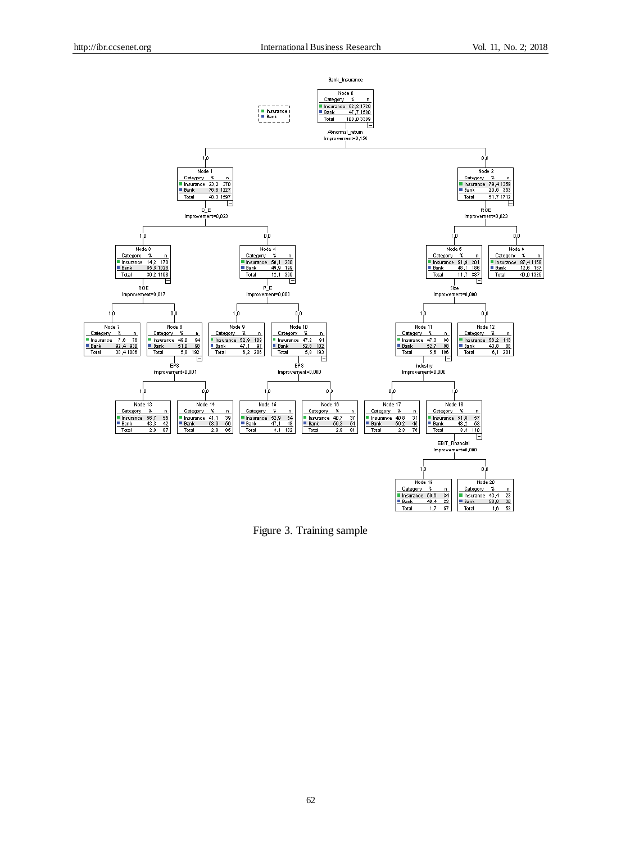

Figure 3. Training sample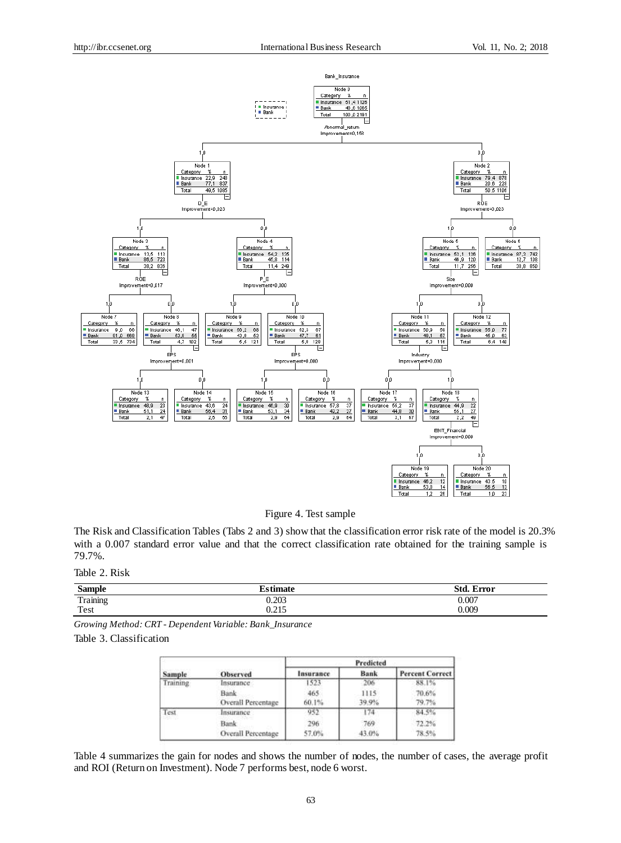

Figure 4. Test sample

The Risk and Classification Tables (Tabs 2 and 3) show that the classification error risk rate of the model is 20.3% with a 0.007 standard error value and that the correct classification rate obtained for the training sample is 79.7%.

#### Table 2. Risk

| <b>Sample</b> | -<br>$\cdot$ .<br>tımat | Std<br>trror |
|---------------|-------------------------|--------------|
| fraining<br>ັ | 0.203                   | 0.007        |
| Test          | $\sim$ $\sim$<br>∪.∠ ⊥. | 0.009        |

*Growing Method: CRT - Dependent Variable: Bank\_Insurance*

## Table 3. Classification

|          |                    | Predicted |       |                        |  |
|----------|--------------------|-----------|-------|------------------------|--|
| Sample   | <b>Observed</b>    | Insurance | Bank  | <b>Percent Correct</b> |  |
| Training | Insurance          | 1523      | 206   | 88.1%                  |  |
|          | Bank               | 465       | 1115  | 70.6%                  |  |
|          | Overall Percentage | 60.1%     | 39.9% | 79.7%                  |  |
| Test     | Insurance          | 952       | 174   | 84.5%                  |  |
| 요즘에 사고   | Bank               | 296       | 769   | 72.2%                  |  |
|          | Overall Percentage | 57.0%     | 43.0% | 78.5%                  |  |

Table 4 summarizes the gain for nodes and shows the number of nodes, the number of cases, the average profit and ROI (Return on Investment). Node 7 performs best, node 6 worst.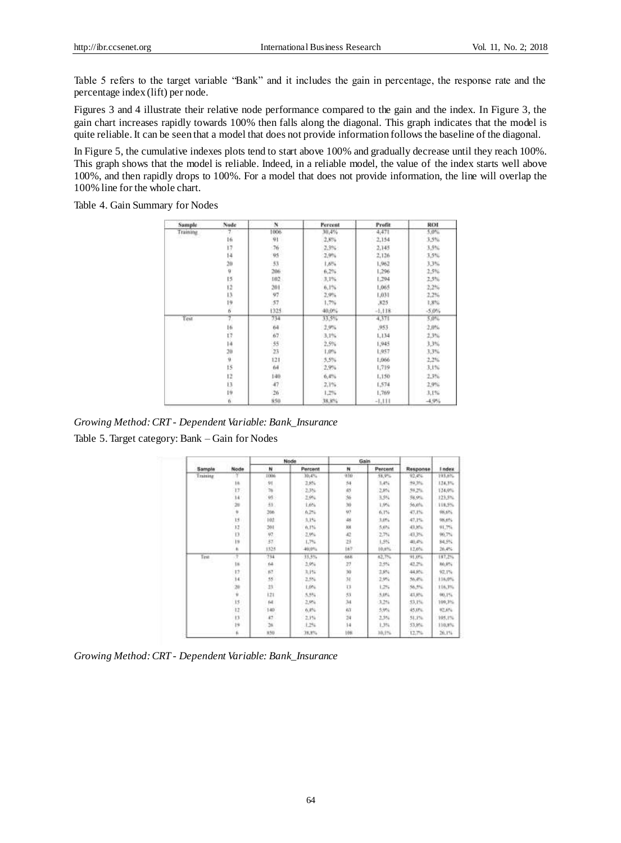Table 5 refers to the target variable "Bank" and it includes the gain in percentage, the response rate and the percentage index (lift) per node.

Figures 3 and 4 illustrate their relative node performance compared to the gain and the index. In Figure 3, the gain chart increases rapidly towards 100% then falls along the diagonal. This graph indicates that the model is quite reliable. It can be seen that a model that does not provide information follows the baseline of the diagonal.

In Figure 5, the cumulative indexes plots tend to start above 100% and gradually decrease until they reach 100%. This graph shows that the model is reliable. Indeed, in a reliable model, the value of the index starts well above 100%, and then rapidly drops to 100%. For a model that does not provide information, the line will overlap the 100% line for the whole chart.

Table 4. Gain Summary for Nodes

| Sample   | Node            | $\boldsymbol{\mathsf{N}}$ | Percent | <b>Profit</b> | ROI      |
|----------|-----------------|---------------------------|---------|---------------|----------|
| Training |                 | 1006                      | 30,4%   | 4,471         | 5.0%     |
|          | 16.             | 91                        | 2.8%    | 2,154         | 3.5%     |
|          | 17              | $-76$                     | 2,3%    | 2,145         | 3,5%     |
|          |                 | 95                        | 2,9%    | 2,126         | 3,5%     |
|          | $\frac{14}{20}$ | 53                        | 1.6%    | 1,962         | 3,3%     |
|          | g               | 206                       | 6,2%    | 1,296         | 2.5%     |
|          | ſŠ              | 102                       | 3.1%    | 1.794         | 2,5%     |
|          | 12<br>13        | 201                       | 6,1%    | 1,065         | 2,2%     |
|          |                 | 97                        | $2,9\%$ | 1,031         | 2,2%     |
|          | 19              | 57                        | 1,7%    | , 825         | 1,8%     |
|          | 6               | 1325                      | 40,0%   | $-1.118$      | $-5.0\%$ |
| Test     | 7.              | 734                       | 33,5%   | 4,371         | 5.0%     |
|          | łб              | 64                        | 2.9%    | ,953          | $2.0\%$  |
|          | ŭ               | 67                        | $3,1\%$ | 1,134         | 2.3%     |
|          | jà              | 55                        | 2.5%    | 1,945         | 3,3%     |
|          | 20              | 23                        | 1,0%    | 1,957         | 3,3%     |
|          | ä               | 121                       | 5.5%    | 1,066         | 2,2%     |
|          | ţš              | 64                        | 2.9%    | 1,719         | 3,1%     |
|          | 12              | 140                       | $6,4\%$ | 1.150         | 2.3%     |
|          | i3              | 47                        | 2,1%    | 1,574         | 2,9%     |
|          |                 | 26.                       | $1.2\%$ | 1,769         | 3,1%     |
|          | 19<br>6.        | 850                       | 38.8%   | $-1,111$      | $-4.9%$  |

*Growing Method: CRT - Dependent Variable: Bank\_Insurance* Table 5. Target category: Bank – Gain for Nodes

|          |              |                 | Node    |                          | Gain    |          |           |
|----------|--------------|-----------------|---------|--------------------------|---------|----------|-----------|
| Sample   | Node         | N               | Percent | N                        | Percent | Response | I ndex    |
| Training |              | 1006            | 30,4%   | 930                      | 58,9%   | $92,4\%$ | 193,6%    |
|          | 16           | 91              | 2,8%    |                          | 3,4%    | 59,7%    | 124,3%    |
|          | II           | $\overline{70}$ | 2.3%    |                          | 2.8%    | 59.2%    | 134,0%    |
|          | $14^{\circ}$ | $05 -$          | 2.954   | 网络短期                     | 3.5%    | 58,9%    | $123.3\%$ |
|          | ź8           | 33              | 1.6%    |                          | 1.9%    | 56,0%    | 118,5%    |
|          | ù<br>x       | 366             | 0.276   | 97                       | 6.1%    | 47.1%    | 98.65%    |
|          | 15           | $102 -$         | 3.1%    | 28                       | 1.11%   | 47,1%    | 08.6%     |
|          | 12           | 301             | 6.1%    |                          | 5,0%    | 43,8%    | 91,7%     |
|          | B            | 97.             | 2.0%    | 42                       | 2.7%    | 43.3%    | 96.7%     |
|          | 19           | $-37$           | 1,7%    | ń                        | 1.5%    | 41.4%    | 54.5%     |
|          |              | 1323            | 40,0%   | 167                      | 10,871  | 12,0%    | 26,4%     |
| Test     | 茂            | 714             | 33,3%   | 668                      | 42,7%   | 91,0%    | 157,2%    |
|          | 16           | 64              | 2.9%    | 27                       | 2.5%    | 42.2%    | 86,8%     |
|          | 12           | 67              | 3,1%    | 30<br>31                 | 2.8%    | 44,8%    | 92.1%     |
|          | $\mathbf{H}$ | 98              | 2.5%    |                          | 2,9%    | 56,0%    | 136,0%    |
|          | $_{20}$      | 訪               | 1.0%    | u                        | 1,2%    | 56,5%    | 116,3%    |
|          | ù            | 121             | 5,5%    | šä                       | 5,0%    | 43,8%    | 90,1%     |
|          | 15           | felt.           | 2.0%    | $\overline{\mathbf{34}}$ | 1,2%    | 53,1%    | 109,3%    |
|          | 12           | 140             | 0.356   |                          | 5.9%    | 45,0%    | 42,6%     |
|          | $+1$         | 87              | 2.1%    | 前期                       | 2.3%    | 51.1%    | 195,1%    |
|          | 19           | 1w              | 12%     | 14                       | 1.3%    | 53.9%    | 110,9%    |
|          |              | 850             | 38,8%   | HW-                      | 10,1%   | 12.7%    | 26.1%     |

*Growing Method: CRT - Dependent Variable: Bank\_Insurance*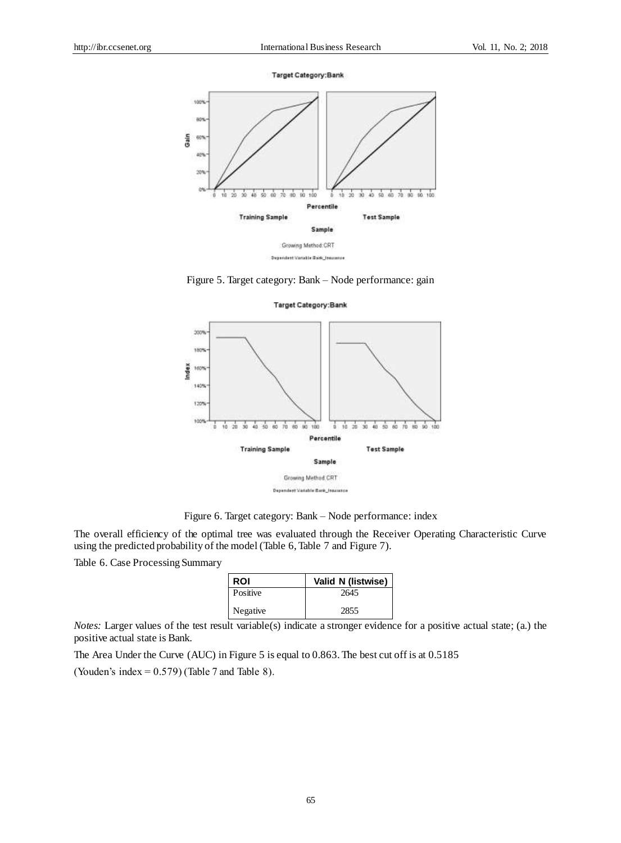



Figure 5. Target category: Bank – Node performance: gain



#### Target Category: Bank

Figure 6. Target category: Bank – Node performance: index

The overall efficiency of the optimal tree was evaluated through the Receiver Operating Characteristic Curve using the predicted probability of the model (Table 6, Table 7 and Figure 7).

Table 6. Case Processing Summary

| <b>ROI</b> | Valid N (listwise) |
|------------|--------------------|
| Positive   | 2645               |
| Negative   | 2855               |

*Notes:* Larger values of the test result variable(s) indicate a stronger evidence for a positive actual state; (a.) the positive actual state is Bank.

The Area Under the Curve (AUC) in Figure 5 is equal to 0.863. The best cut off is at 0.5185

(Youden's index = 0.579) (Table 7 and Table 8).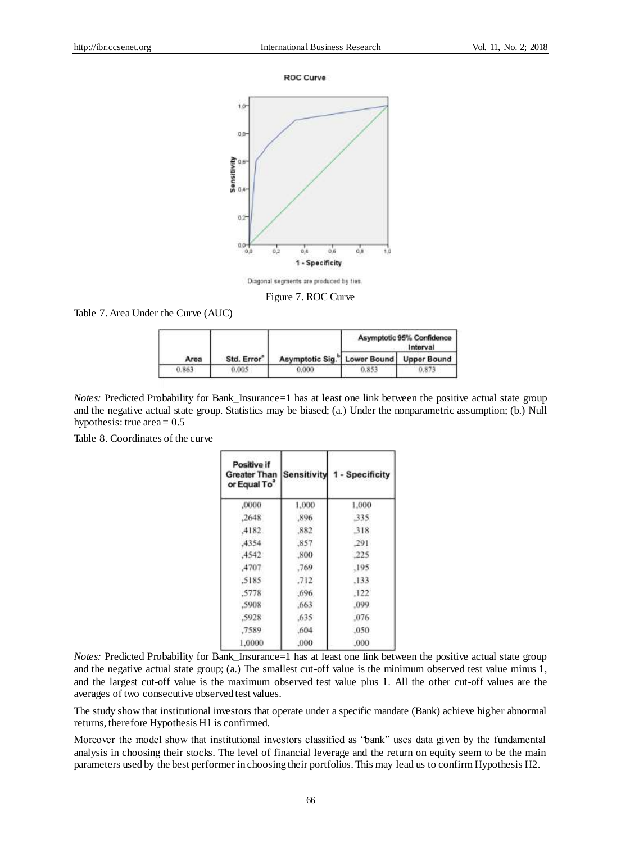#### **ROC Curve**



Figure 7. ROC Curve

Table 7. Area Under the Curve (AUC)

|       |                         |                                                        | Asymptotic 95% Confidence<br>Interval |       |  |
|-------|-------------------------|--------------------------------------------------------|---------------------------------------|-------|--|
| Area  | Std. Error <sup>®</sup> | Asymptotic Sig. <sup>"</sup> Lower Bound   Upper Bound |                                       |       |  |
| 0.863 | 0.005                   | 0.000                                                  | 0.853                                 | 0.873 |  |

*Notes:* Predicted Probability for Bank\_Insurance=1 has at least one link between the positive actual state group and the negative actual state group. Statistics may be biased; (a.) Under the nonparametric assumption; (b.) Null hypothesis: true  $area = 0.5$ 

Table 8. Coordinates of the curve

| Positive if<br><b>Greater Than</b><br>or Equal To <sup>a</sup> | Sensitivity | 1 - Specificity |
|----------------------------------------------------------------|-------------|-----------------|
| .0000                                                          | 1.000       | 1.000           |
| .2648                                                          | .896        | 335             |
| 4182                                                           | .882        | 318             |
| .4354                                                          | .857        | .291            |
| 4542                                                           | .800        | .225            |
| 4707                                                           | ,769        | .195            |
| .5185                                                          | .712        | .133            |
| .5778                                                          | .696        | .122            |
| .5908                                                          | .663        | .099            |
| .5928                                                          | .635        | .076            |
| .7589                                                          | .604        | .050            |
| 1,0000                                                         | ,000        | .000            |

*Notes:* Predicted Probability for Bank\_Insurance=1 has at least one link between the positive actual state group and the negative actual state group; (a.) The smallest cut-off value is the minimum observed test value minus 1, and the largest cut-off value is the maximum observed test value plus 1. All the other cut-off values are the averages of two consecutive observed test values.

The study show that institutional investors that operate under a specific mandate (Bank) achieve higher abnormal returns, therefore Hypothesis H1 is confirmed.

Moreover the model show that institutional investors classified as "bank" uses data given by the fundamental analysis in choosing their stocks. The level of financial leverage and the return on equity seem to be the main parameters used by the best performer in choosing their portfolios. This may lead us to confirm Hypothesis H2.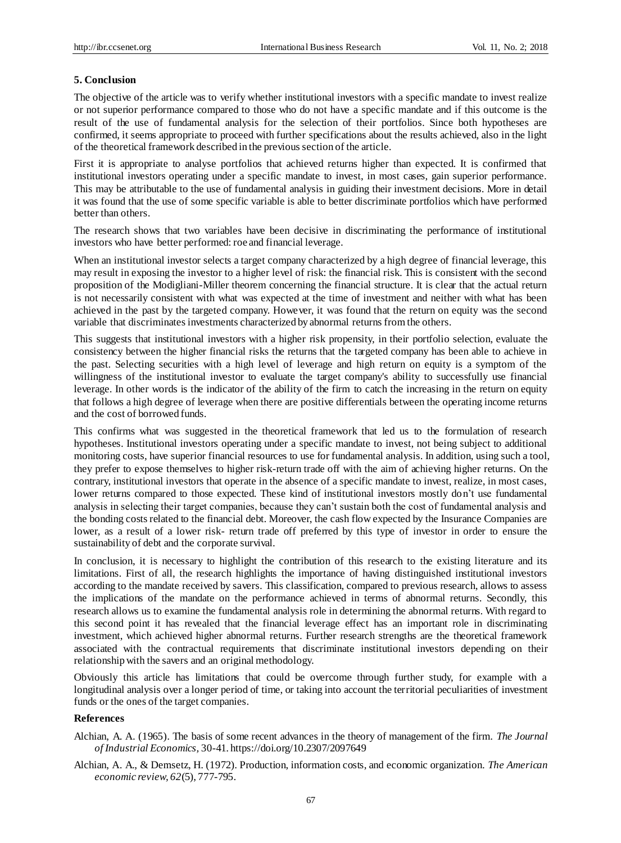## **5. Conclusion**

The objective of the article was to verify whether institutional investors with a specific mandate to invest realize or not superior performance compared to those who do not have a specific mandate and if this outcome is the result of the use of fundamental analysis for the selection of their portfolios. Since both hypotheses are confirmed, it seems appropriate to proceed with further specifications about the results achieved, also in the light of the theoretical framework described in the previous section of the article.

First it is appropriate to analyse portfolios that achieved returns higher than expected. It is confirmed that institutional investors operating under a specific mandate to invest, in most cases, gain superior performance. This may be attributable to the use of fundamental analysis in guiding their investment decisions. More in detail it was found that the use of some specific variable is able to better discriminate portfolios which have performed better than others.

The research shows that two variables have been decisive in discriminating the performance of institutional investors who have better performed: roe and financial leverage.

When an institutional investor selects a target company characterized by a high degree of financial leverage, this may result in exposing the investor to a higher level of risk: the financial risk. This is consistent with the second proposition of the Modigliani-Miller theorem concerning the financial structure. It is clear that the actual return is not necessarily consistent with what was expected at the time of investment and neither with what has been achieved in the past by the targeted company. However, it was found that the return on equity was the second variable that discriminates investments characterized by abnormal returns from the others.

This suggests that institutional investors with a higher risk propensity, in their portfolio selection, evaluate the consistency between the higher financial risks the returns that the targeted company has been able to achieve in the past. Selecting securities with a high level of leverage and high return on equity is a symptom of the willingness of the institutional investor to evaluate the target company's ability to successfully use financial leverage. In other words is the indicator of the ability of the firm to catch the increasing in the return on equity that follows a high degree of leverage when there are positive differentials between the operating income returns and the cost of borrowed funds.

This confirms what was suggested in the theoretical framework that led us to the formulation of research hypotheses. Institutional investors operating under a specific mandate to invest, not being subject to additional monitoring costs, have superior financial resources to use for fundamental analysis. In addition, using such a tool, they prefer to expose themselves to higher risk-return trade off with the aim of achieving higher returns. On the contrary, institutional investors that operate in the absence of a specific mandate to invest, realize, in most cases, lower returns compared to those expected. These kind of institutional investors mostly don't use fundamental analysis in selecting their target companies, because they can't sustain both the cost of fundamental analysis and the bonding costs related to the financial debt. Moreover, the cash flow expected by the Insurance Companies are lower, as a result of a lower risk- return trade off preferred by this type of investor in order to ensure the sustainability of debt and the corporate survival.

In conclusion, it is necessary to highlight the contribution of this research to the existing literature and its limitations. First of all, the research highlights the importance of having distinguished institutional investors according to the mandate received by savers. This classification, compared to previous research, allows to assess the implications of the mandate on the performance achieved in terms of abnormal returns. Secondly, this research allows us to examine the fundamental analysis role in determining the abnormal returns. With regard to this second point it has revealed that the financial leverage effect has an important role in discriminating investment, which achieved higher abnormal returns. Further research strengths are the theoretical framework associated with the contractual requirements that discriminate institutional investors depending on their relationship with the savers and an original methodology.

Obviously this article has limitations that could be overcome through further study, for example with a longitudinal analysis over a longer period of time, or taking into account the territorial peculiarities of investment funds or the ones of the target companies.

#### **References**

- Alchian, A. A. (1965). The basis of some recent advances in the theory of management of the firm. *The Journal of Industrial Economics,* 30-41. https://doi.org/10.2307/2097649
- Alchian, A. A., & Demsetz, H. (1972). Production, information costs, and economic organization. *The American economic review, 62*(5), 777-795.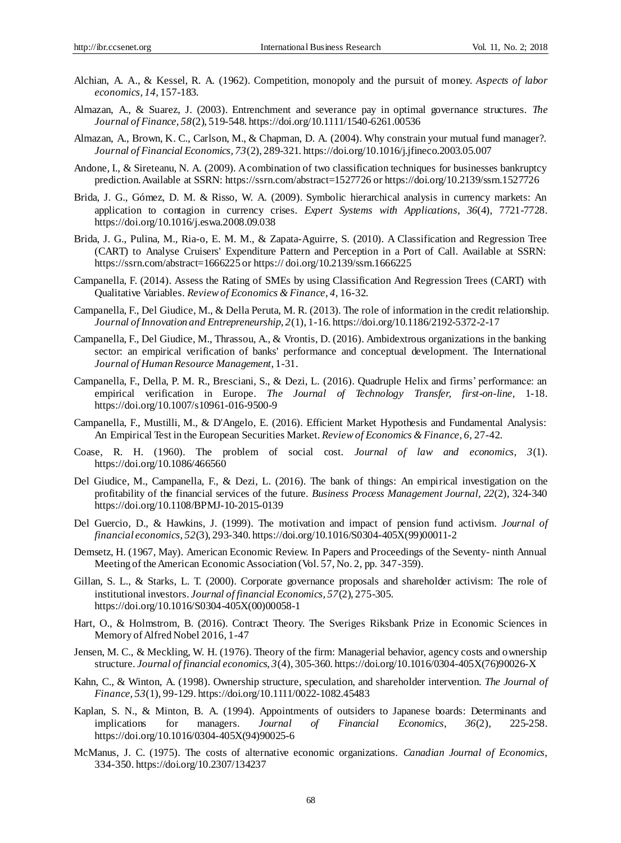- Alchian, A. A., & Kessel, R. A. (1962). Competition, monopoly and the pursuit of money. *Aspects of labor economics, 14,* 157-183.
- Almazan, A., & Suarez, J. (2003). Entrenchment and severance pay in optimal governance structures. *The Journal of Finance, 58*(2), 519-548. https://doi.org/10.1111/1540-6261.00536
- Almazan, A., Brown, K. C., Carlson, M., & Chapman, D. A. (2004). Why constrain your mutual fund manager?. *Journal of Financial Economics, 73*(2), 289-321. https://doi.org/10.1016/j.jfineco.2003.05.007
- Andone, I., & Sireteanu, N. A. (2009). A combination of two classification techniques for businesses bankruptcy prediction. Available at SSRN: https://ssrn.com/abstract=1527726 or https://doi.org/10.2139/ssrn.1527726
- Brida, J. G., Gómez, D. M. & Risso, W. A. (2009). Symbolic hierarchical analysis in currency markets: An application to contagion in currency crises. *Expert Systems with Applications, 36*(4), 7721-7728. https://doi.org/10.1016/j.eswa.2008.09.038
- Brida, J. G., Pulina, M., Ria-o, E. M. M., & Zapata-Aguirre, S. (2010). A Classification and Regression Tree (CART) to Analyse Cruisers' Expenditure Pattern and Perception in a Port of Call. Available at SSRN: https://ssrn.com/abstract=1666225 or https:// doi.org/10.2139/ssrn.1666225
- Campanella, F. (2014). Assess the Rating of SMEs by using Classification And Regression Trees (CART) with Qualitative Variables. *Review of Economics & Finance, 4,* 16-32.
- Campanella, F., Del Giudice, M., & Della Peruta, M. R. (2013). The role of information in the credit relationship. *Journal of Innovation and Entrepreneurship, 2*(1), 1-16. https://doi.org/10.1186/2192-5372-2-17
- Campanella, F., Del Giudice, M., Thrassou, A., & Vrontis, D. (2016). Ambidextrous organizations in the banking sector: an empirical verification of banks' performance and conceptual development. The International *Journal of Human Resource Management,* 1-31.
- Campanella, F., Della, P. M. R., Bresciani, S., & Dezi, L. (2016). Quadruple Helix and firms' performance: an empirical verification in Europe. *The Journal of Technology Transfer, first-on-line,* 1-18. https://doi.org/10.1007/s10961-016-9500-9
- Campanella, F., Mustilli, M., & D'Angelo, E. (2016). Efficient Market Hypothesis and Fundamental Analysis: An Empirical Test in the European Securities Market. *Review of Economics & Finance, 6,* 27-42.
- Coase, R. H. (1960). The problem of social cost. *Journal of law and economics, 3*(1). https://doi.org/10.1086/466560
- Del Giudice, M., Campanella, F., & Dezi, L. (2016). The bank of things: An empirical investigation on the profitability of the financial services of the future. *Business Process Management Journal, 22*(2), 324-340 https://doi.org/10.1108/BPMJ-10-2015-0139
- Del Guercio, D., & Hawkins, J. (1999). The motivation and impact of pension fund activism. *Journal of financial economics, 52*(3), 293-340. https://doi.org/10.1016/S0304-405X(99)00011-2
- Demsetz, H. (1967, May). American Economic Review. In Papers and Proceedings of the Seventy- ninth Annual Meeting of the American Economic Association (Vol. 57, No. 2, pp. 347-359).
- Gillan, S. L., & Starks, L. T. (2000). Corporate governance proposals and shareholder activism: The role of institutional investors. *Journal of financial Economics, 57*(2), 275-305. https://doi.org/10.1016/S0304-405X(00)00058-1
- Hart, O., & Holmstrom, B. (2016). Contract Theory. The Sveriges Riksbank Prize in Economic Sciences in Memory of Alfred Nobel 2016, 1-47
- Jensen, M. C., & Meckling, W. H. (1976). Theory of the firm: Managerial behavior, agency costs and ownership structure. *Journal of financial economics, 3*(4), 305-360. https://doi.org/10.1016/0304-405X(76)90026-X
- Kahn, C., & Winton, A. (1998). Ownership structure, speculation, and shareholder intervention. *The Journal of Finance, 53*(1), 99-129. https://doi.org/10.1111/0022-1082.45483
- Kaplan, S. N., & Minton, B. A. (1994). Appointments of outsiders to Japanese boards: Determinants and implications for managers. *Journal of Financial Economics, 36*(2), 225-258. https://doi.org/10.1016/0304-405X(94)90025-6
- McManus, J. C. (1975). The costs of alternative economic organizations. *Canadian Journal of Economics,*  334-350. https://doi.org/10.2307/134237